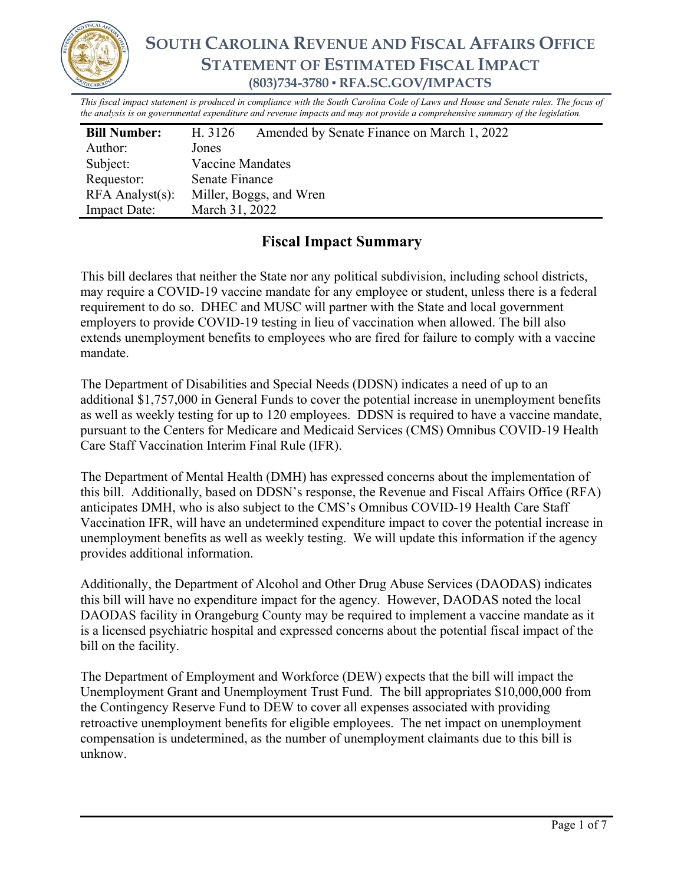

# **SOUTH CAROLINA REVENUE AND FISCAL AFFAIRS OFFICE STATEMENT OF ESTIMATED FISCAL IMPACT (803)734-3780 ▪ RFA.SC.GOV/IMPACTS**

*This fiscal impact statement is produced in compliance with the South Carolina Code of Laws and House and Senate rules. The focus of the analysis is on governmental expenditure and revenue impacts and may not provide a comprehensive summary of the legislation.*

| <b>Bill Number:</b>   | Amended by Senate Finance on March 1, 2022<br>H. 3126 |  |  |  |
|-----------------------|-------------------------------------------------------|--|--|--|
| Author:               | Jones                                                 |  |  |  |
| Subject:              | Vaccine Mandates                                      |  |  |  |
| Requestor:            | Senate Finance                                        |  |  |  |
| $RFA$ Analyst $(s)$ : | Miller, Boggs, and Wren                               |  |  |  |
| <b>Impact Date:</b>   | March 31, 2022                                        |  |  |  |

## **Fiscal Impact Summary**

This bill declares that neither the State nor any political subdivision, including school districts, may require a COVID-19 vaccine mandate for any employee or student, unless there is a federal requirement to do so. DHEC and MUSC will partner with the State and local government employers to provide COVID-19 testing in lieu of vaccination when allowed. The bill also extends unemployment benefits to employees who are fired for failure to comply with a vaccine mandate.

The Department of Disabilities and Special Needs (DDSN) indicates a need of up to an additional \$1,757,000 in General Funds to cover the potential increase in unemployment benefits as well as weekly testing for up to 120 employees. DDSN is required to have a vaccine mandate, pursuant to the Centers for Medicare and Medicaid Services (CMS) Omnibus COVID-19 Health Care Staff Vaccination Interim Final Rule (IFR).

The Department of Mental Health (DMH) has expressed concerns about the implementation of this bill. Additionally, based on DDSN's response, the Revenue and Fiscal Affairs Office (RFA) anticipates DMH, who is also subject to the CMS's Omnibus COVID-19 Health Care Staff Vaccination IFR, will have an undetermined expenditure impact to cover the potential increase in unemployment benefits as well as weekly testing. We will update this information if the agency provides additional information.

Additionally, the Department of Alcohol and Other Drug Abuse Services (DAODAS) indicates this bill will have no expenditure impact for the agency. However, DAODAS noted the local DAODAS facility in Orangeburg County may be required to implement a vaccine mandate as it is a licensed psychiatric hospital and expressed concerns about the potential fiscal impact of the bill on the facility.

The Department of Employment and Workforce (DEW) expects that the bill will impact the Unemployment Grant and Unemployment Trust Fund. The bill appropriates \$10,000,000 from the Contingency Reserve Fund to DEW to cover all expenses associated with providing retroactive unemployment benefits for eligible employees. The net impact on unemployment compensation is undetermined, as the number of unemployment claimants due to this bill is unknow.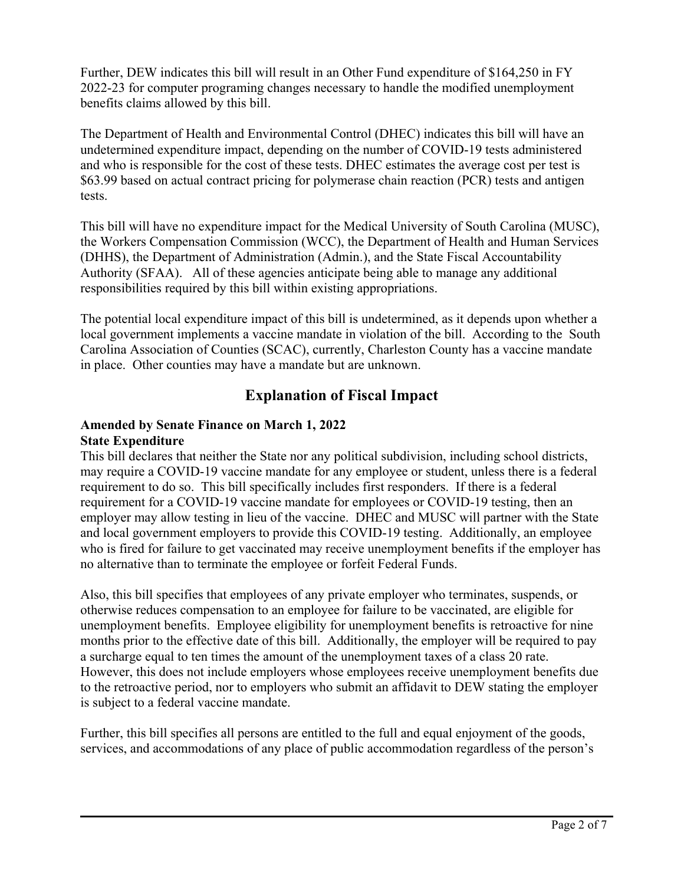Further, DEW indicates this bill will result in an Other Fund expenditure of \$164,250 in FY 2022-23 for computer programing changes necessary to handle the modified unemployment benefits claims allowed by this bill.

The Department of Health and Environmental Control (DHEC) indicates this bill will have an undetermined expenditure impact, depending on the number of COVID-19 tests administered and who is responsible for the cost of these tests. DHEC estimates the average cost per test is \$63.99 based on actual contract pricing for polymerase chain reaction (PCR) tests and antigen tests.

This bill will have no expenditure impact for the Medical University of South Carolina (MUSC), the Workers Compensation Commission (WCC), the Department of Health and Human Services (DHHS), the Department of Administration (Admin.), and the State Fiscal Accountability Authority (SFAA). All of these agencies anticipate being able to manage any additional responsibilities required by this bill within existing appropriations.

The potential local expenditure impact of this bill is undetermined, as it depends upon whether a local government implements a vaccine mandate in violation of the bill. According to the South Carolina Association of Counties (SCAC), currently, Charleston County has a vaccine mandate in place. Other counties may have a mandate but are unknown.

### **Explanation of Fiscal Impact**

# **Amended by Senate Finance on March 1, 2022**

### **State Expenditure**

This bill declares that neither the State nor any political subdivision, including school districts, may require a COVID-19 vaccine mandate for any employee or student, unless there is a federal requirement to do so. This bill specifically includes first responders. If there is a federal requirement for a COVID-19 vaccine mandate for employees or COVID-19 testing, then an employer may allow testing in lieu of the vaccine. DHEC and MUSC will partner with the State and local government employers to provide this COVID-19 testing. Additionally, an employee who is fired for failure to get vaccinated may receive unemployment benefits if the employer has no alternative than to terminate the employee or forfeit Federal Funds.

Also, this bill specifies that employees of any private employer who terminates, suspends, or otherwise reduces compensation to an employee for failure to be vaccinated, are eligible for unemployment benefits. Employee eligibility for unemployment benefits is retroactive for nine months prior to the effective date of this bill. Additionally, the employer will be required to pay a surcharge equal to ten times the amount of the unemployment taxes of a class 20 rate. However, this does not include employers whose employees receive unemployment benefits due to the retroactive period, nor to employers who submit an affidavit to DEW stating the employer is subject to a federal vaccine mandate.

Further, this bill specifies all persons are entitled to the full and equal enjoyment of the goods, services, and accommodations of any place of public accommodation regardless of the person's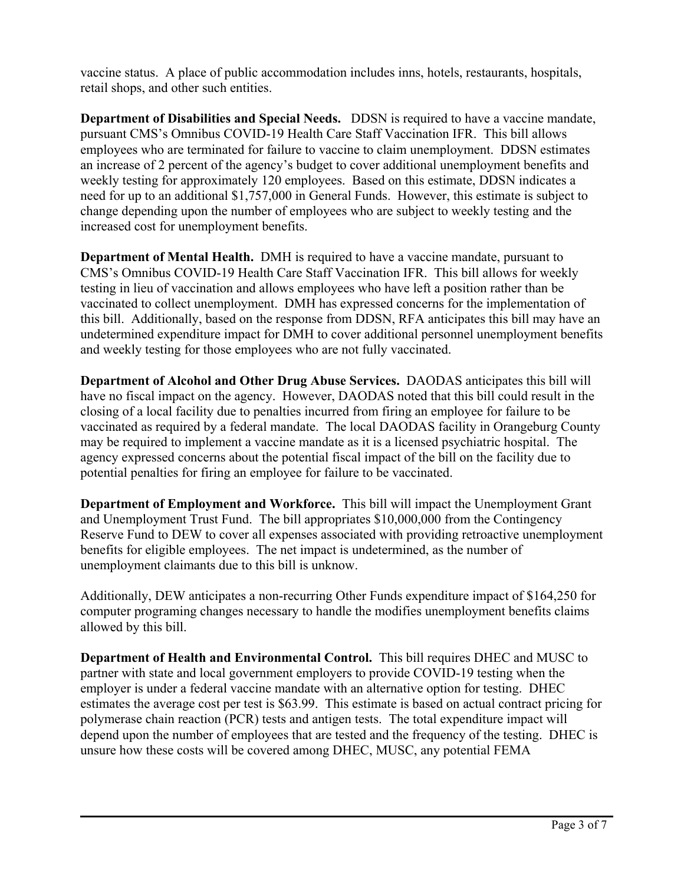vaccine status. A place of public accommodation includes inns, hotels, restaurants, hospitals, retail shops, and other such entities.

**Department of Disabilities and Special Needs.** DDSN is required to have a vaccine mandate, pursuant CMS's Omnibus COVID-19 Health Care Staff Vaccination IFR. This bill allows employees who are terminated for failure to vaccine to claim unemployment. DDSN estimates an increase of 2 percent of the agency's budget to cover additional unemployment benefits and weekly testing for approximately 120 employees. Based on this estimate, DDSN indicates a need for up to an additional \$1,757,000 in General Funds. However, this estimate is subject to change depending upon the number of employees who are subject to weekly testing and the increased cost for unemployment benefits.

**Department of Mental Health.** DMH is required to have a vaccine mandate, pursuant to CMS's Omnibus COVID-19 Health Care Staff Vaccination IFR. This bill allows for weekly testing in lieu of vaccination and allows employees who have left a position rather than be vaccinated to collect unemployment. DMH has expressed concerns for the implementation of this bill. Additionally, based on the response from DDSN, RFA anticipates this bill may have an undetermined expenditure impact for DMH to cover additional personnel unemployment benefits and weekly testing for those employees who are not fully vaccinated.

**Department of Alcohol and Other Drug Abuse Services.** DAODAS anticipates this bill will have no fiscal impact on the agency. However, DAODAS noted that this bill could result in the closing of a local facility due to penalties incurred from firing an employee for failure to be vaccinated as required by a federal mandate. The local DAODAS facility in Orangeburg County may be required to implement a vaccine mandate as it is a licensed psychiatric hospital. The agency expressed concerns about the potential fiscal impact of the bill on the facility due to potential penalties for firing an employee for failure to be vaccinated.

**Department of Employment and Workforce.** This bill will impact the Unemployment Grant and Unemployment Trust Fund. The bill appropriates \$10,000,000 from the Contingency Reserve Fund to DEW to cover all expenses associated with providing retroactive unemployment benefits for eligible employees. The net impact is undetermined, as the number of unemployment claimants due to this bill is unknow.

Additionally, DEW anticipates a non-recurring Other Funds expenditure impact of \$164,250 for computer programing changes necessary to handle the modifies unemployment benefits claims allowed by this bill.

**Department of Health and Environmental Control.** This bill requires DHEC and MUSC to partner with state and local government employers to provide COVID-19 testing when the employer is under a federal vaccine mandate with an alternative option for testing. DHEC estimates the average cost per test is \$63.99. This estimate is based on actual contract pricing for polymerase chain reaction (PCR) tests and antigen tests. The total expenditure impact will depend upon the number of employees that are tested and the frequency of the testing. DHEC is unsure how these costs will be covered among DHEC, MUSC, any potential FEMA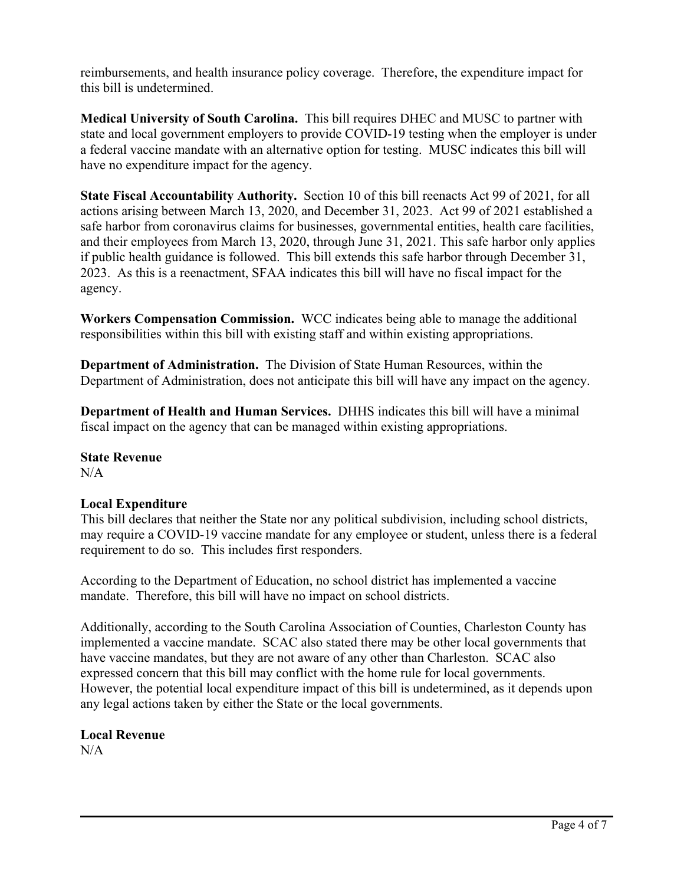reimbursements, and health insurance policy coverage. Therefore, the expenditure impact for this bill is undetermined.

**Medical University of South Carolina.** This bill requires DHEC and MUSC to partner with state and local government employers to provide COVID-19 testing when the employer is under a federal vaccine mandate with an alternative option for testing. MUSC indicates this bill will have no expenditure impact for the agency.

**State Fiscal Accountability Authority.** Section 10 of this bill reenacts Act 99 of 2021, for all actions arising between March 13, 2020, and December 31, 2023. Act 99 of 2021 established a safe harbor from coronavirus claims for businesses, governmental entities, health care facilities, and their employees from March 13, 2020, through June 31, 2021. This safe harbor only applies if public health guidance is followed. This bill extends this safe harbor through December 31, 2023. As this is a reenactment, SFAA indicates this bill will have no fiscal impact for the agency.

**Workers Compensation Commission.** WCC indicates being able to manage the additional responsibilities within this bill with existing staff and within existing appropriations.

**Department of Administration.** The Division of State Human Resources, within the Department of Administration, does not anticipate this bill will have any impact on the agency.

**Department of Health and Human Services.** DHHS indicates this bill will have a minimal fiscal impact on the agency that can be managed within existing appropriations.

**State Revenue**   $N/A$ 

### **Local Expenditure**

This bill declares that neither the State nor any political subdivision, including school districts, may require a COVID-19 vaccine mandate for any employee or student, unless there is a federal requirement to do so. This includes first responders.

According to the Department of Education, no school district has implemented a vaccine mandate. Therefore, this bill will have no impact on school districts.

Additionally, according to the South Carolina Association of Counties, Charleston County has implemented a vaccine mandate. SCAC also stated there may be other local governments that have vaccine mandates, but they are not aware of any other than Charleston. SCAC also expressed concern that this bill may conflict with the home rule for local governments. However, the potential local expenditure impact of this bill is undetermined, as it depends upon any legal actions taken by either the State or the local governments.

# **Local Revenue**

 $N/A$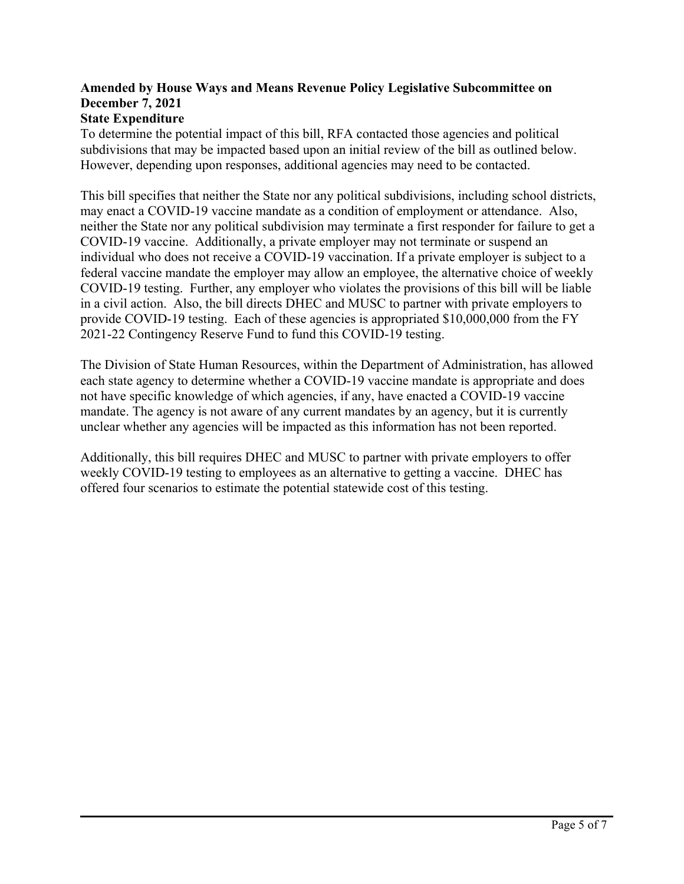### **Amended by House Ways and Means Revenue Policy Legislative Subcommittee on December 7, 2021**

### **State Expenditure**

To determine the potential impact of this bill, RFA contacted those agencies and political subdivisions that may be impacted based upon an initial review of the bill as outlined below. However, depending upon responses, additional agencies may need to be contacted.

This bill specifies that neither the State nor any political subdivisions, including school districts, may enact a COVID-19 vaccine mandate as a condition of employment or attendance. Also, neither the State nor any political subdivision may terminate a first responder for failure to get a COVID-19 vaccine. Additionally, a private employer may not terminate or suspend an individual who does not receive a COVID-19 vaccination. If a private employer is subject to a federal vaccine mandate the employer may allow an employee, the alternative choice of weekly COVID-19 testing. Further, any employer who violates the provisions of this bill will be liable in a civil action. Also, the bill directs DHEC and MUSC to partner with private employers to provide COVID-19 testing. Each of these agencies is appropriated \$10,000,000 from the FY 2021-22 Contingency Reserve Fund to fund this COVID-19 testing.

The Division of State Human Resources, within the Department of Administration, has allowed each state agency to determine whether a COVID-19 vaccine mandate is appropriate and does not have specific knowledge of which agencies, if any, have enacted a COVID-19 vaccine mandate. The agency is not aware of any current mandates by an agency, but it is currently unclear whether any agencies will be impacted as this information has not been reported.

Additionally, this bill requires DHEC and MUSC to partner with private employers to offer weekly COVID-19 testing to employees as an alternative to getting a vaccine. DHEC has offered four scenarios to estimate the potential statewide cost of this testing.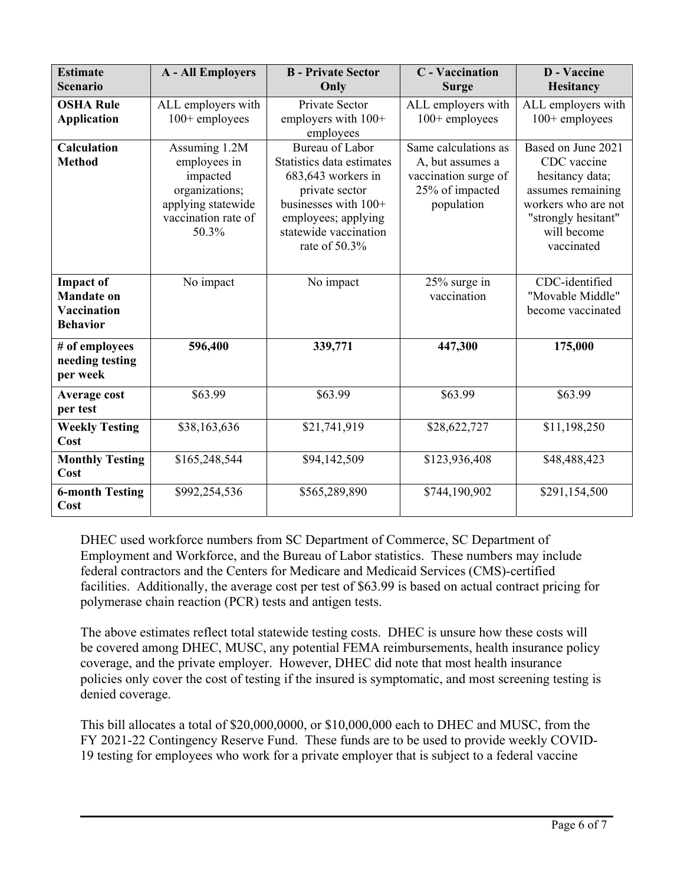| <b>Estimate</b><br><b>Scenario</b>                                      | <b>A</b> - All Employers                                                                                          | <b>B</b> - Private Sector<br>Only                                                                                                                                             | <b>C</b> - Vaccination<br><b>Surge</b>                                                            | <b>D</b> - Vaccine<br><b>Hesitancy</b>                                                                                                               |
|-------------------------------------------------------------------------|-------------------------------------------------------------------------------------------------------------------|-------------------------------------------------------------------------------------------------------------------------------------------------------------------------------|---------------------------------------------------------------------------------------------------|------------------------------------------------------------------------------------------------------------------------------------------------------|
| <b>OSHA Rule</b><br><b>Application</b>                                  | ALL employers with<br>100+ employees                                                                              | Private Sector<br>employers with $100+$<br>employees                                                                                                                          | ALL employers with<br>$100+$ employees                                                            | ALL employers with<br>$100+$ employees                                                                                                               |
| <b>Calculation</b><br><b>Method</b>                                     | Assuming 1.2M<br>employees in<br>impacted<br>organizations;<br>applying statewide<br>vaccination rate of<br>50.3% | Bureau of Labor<br>Statistics data estimates<br>683,643 workers in<br>private sector<br>businesses with 100+<br>employees; applying<br>statewide vaccination<br>rate of 50.3% | Same calculations as<br>A, but assumes a<br>vaccination surge of<br>25% of impacted<br>population | Based on June 2021<br>CDC vaccine<br>hesitancy data;<br>assumes remaining<br>workers who are not<br>"strongly hesitant"<br>will become<br>vaccinated |
| <b>Impact of</b><br><b>Mandate on</b><br>Vaccination<br><b>Behavior</b> | No impact                                                                                                         | No impact                                                                                                                                                                     | 25% surge in<br>vaccination                                                                       | CDC-identified<br>"Movable Middle"<br>become vaccinated                                                                                              |
| # of employees<br>needing testing<br>per week                           | 596,400                                                                                                           | 339,771                                                                                                                                                                       | 447,300                                                                                           | 175,000                                                                                                                                              |
| Average cost<br>per test                                                | \$63.99                                                                                                           | \$63.99                                                                                                                                                                       | \$63.99                                                                                           | \$63.99                                                                                                                                              |
| <b>Weekly Testing</b><br>Cost                                           | \$38,163,636                                                                                                      | \$21,741,919                                                                                                                                                                  | \$28,622,727                                                                                      | \$11,198,250                                                                                                                                         |
| <b>Monthly Testing</b><br>Cost                                          | \$165,248,544                                                                                                     | \$94,142,509                                                                                                                                                                  | \$123,936,408                                                                                     | \$48,488,423                                                                                                                                         |
| <b>6-month Testing</b><br>Cost                                          | \$992,254,536                                                                                                     | \$565,289,890                                                                                                                                                                 | \$744,190,902                                                                                     | \$291,154,500                                                                                                                                        |

DHEC used workforce numbers from SC Department of Commerce, SC Department of Employment and Workforce, and the Bureau of Labor statistics. These numbers may include federal contractors and the Centers for Medicare and Medicaid Services (CMS)-certified facilities. Additionally, the average cost per test of \$63.99 is based on actual contract pricing for polymerase chain reaction (PCR) tests and antigen tests.

The above estimates reflect total statewide testing costs. DHEC is unsure how these costs will be covered among DHEC, MUSC, any potential FEMA reimbursements, health insurance policy coverage, and the private employer. However, DHEC did note that most health insurance policies only cover the cost of testing if the insured is symptomatic, and most screening testing is denied coverage.

This bill allocates a total of \$20,000,0000, or \$10,000,000 each to DHEC and MUSC, from the FY 2021-22 Contingency Reserve Fund. These funds are to be used to provide weekly COVID-19 testing for employees who work for a private employer that is subject to a federal vaccine